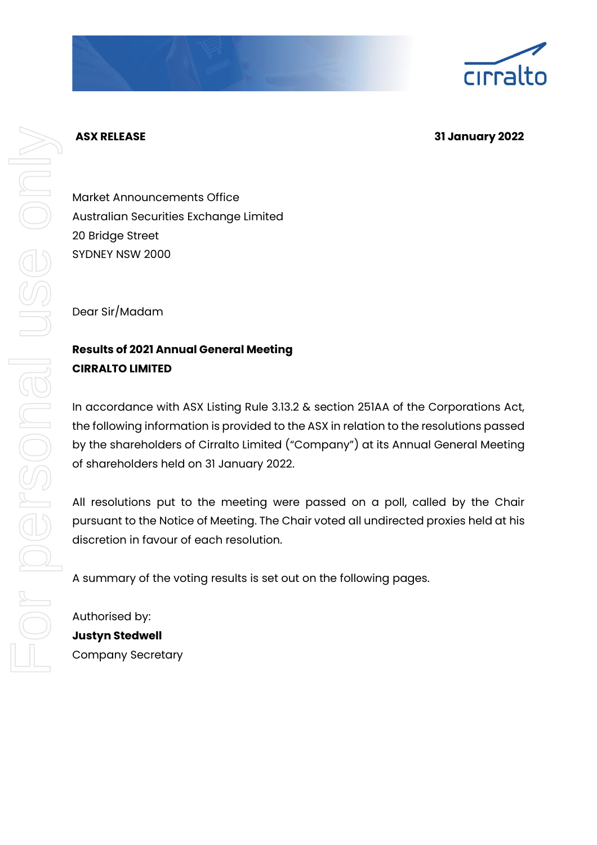## **ASX RELEASE 31 January 2022**

Market Announcements Office Australian Securities Exchange Limited 20 Bridge Street SYDNEY NSW 2000

Dear Sir/Madam

## **Results of 2021 Annual General Meeting CIRRALTO LIMITED**

In accordance with ASX Listing Rule 3.13.2 & section 251AA of the Corporations Act, the following information is provided to the ASX in relation to the resolutions passed by the shareholders of Cirralto Limited ("Company") at its Annual General Meeting of shareholders held on 31 January 2022.

All resolutions put to the meeting were passed on a poll, called by the Chair pursuant to the Notice of Meeting. The Chair voted all undirected proxies held at his discretion in favour of each resolution.

A summary of the voting results is set out on the following pages.

Authorised by: **Justyn Stedwell** Company Secretary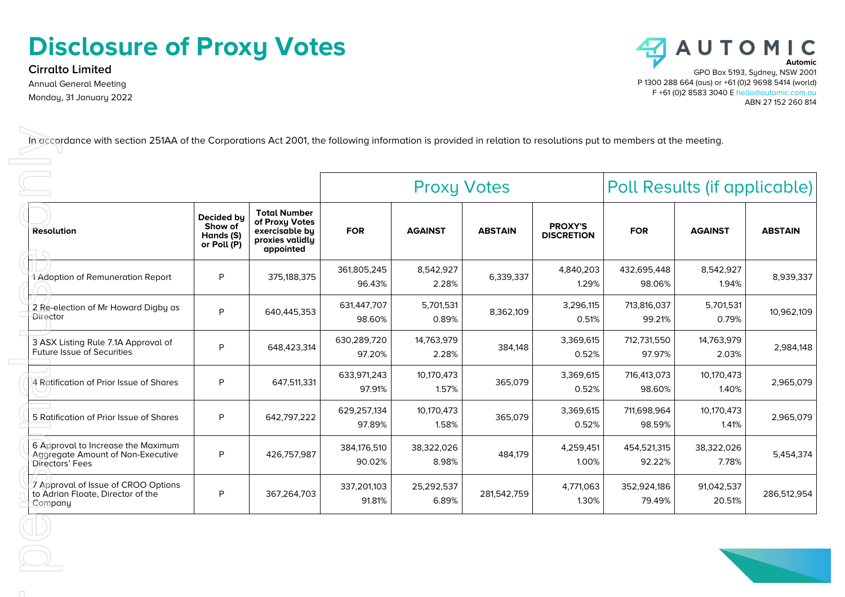## **Disclosure of Proxy Votes**

**Cirralto Limited** Annual General Meeting Monday, 31 January 2022



|                                                                                            |                                                   |                                                                                         | <b>Proxy Votes</b>    |                     |                |                                     | Poll Results (if applicable) |                      |                |
|--------------------------------------------------------------------------------------------|---------------------------------------------------|-----------------------------------------------------------------------------------------|-----------------------|---------------------|----------------|-------------------------------------|------------------------------|----------------------|----------------|
| <b>Resolution</b>                                                                          | Decided by<br>Show of<br>Hands (S)<br>or Poll (P) | <b>Total Number</b><br>of Proxy Votes<br>exercisable by<br>proxies validly<br>appointed | <b>FOR</b>            | <b>AGAINST</b>      | <b>ABSTAIN</b> | <b>PROXY'S</b><br><b>DISCRETION</b> | <b>FOR</b>                   | <b>AGAINST</b>       | <b>ABSTAIN</b> |
| 1 Adoption of Remuneration Report                                                          | P                                                 | 375,188,375                                                                             | 361,805,245<br>96.43% | 8,542,927<br>2.28%  | 6,339,337      | 4,840,203<br>1.29%                  | 432,695,448<br>98.06%        | 8,542,927<br>1.94%   | 8,939,337      |
| 2 Re-election of Mr Howard Digby as<br>Director                                            | P                                                 | 640,445,353                                                                             | 631,447,707<br>98.60% | 5,701,531<br>0.89%  | 8,362,109      | 3,296,115<br>0.51%                  | 713,816,037<br>99.21%        | 5,701,531<br>0.79%   | 10,962,109     |
| 3 ASX Listing Rule 7.1A Approval of<br><b>Future Issue of Securities</b>                   | P                                                 | 648,423,314                                                                             | 630,289,720<br>97.20% | 14,763,979<br>2.28% | 384,148        | 3,369,615<br>0.52%                  | 712,731,550<br>97.97%        | 14,763,979<br>2.03%  | 2,984,148      |
| 4 Ratification of Prior Issue of Shares                                                    | P                                                 | 647,511,331                                                                             | 633,971,243<br>97.91% | 10,170,473<br>1.57% | 365,079        | 3,369,615<br>0.52%                  | 716,413,073<br>98.60%        | 10,170,473<br>1.40%  | 2,965,079      |
| 5 Ratification of Prior Issue of Shares                                                    | P                                                 | 642,797,222                                                                             | 629,257,134<br>97.89% | 10,170,473<br>1.58% | 365,079        | 3,369,615<br>0.52%                  | 711,698,964<br>98.59%        | 10,170,473<br>1.41%  | 2,965,079      |
| 6 Approval to Increase the Maximum<br>Aggregate Amount of Non-Executive<br>Directors' Fees | P                                                 | 426,757,987                                                                             | 384,176,510<br>90.02% | 38,322,026<br>8.98% | 484,179        | 4,259,451<br>1.00%                  | 454,521,315<br>92.22%        | 38,322,026<br>7.78%  | 5,454,374      |
| 7 Approval of Issue of CROO Options<br>to Adrian Floate, Director of the<br>Company        | P                                                 | 367,264,703                                                                             | 337,201,103<br>91.81% | 25,292,537<br>6.89% | 281,542,759    | 4,771,063<br>1.30%                  | 352,924,186<br>79.49%        | 91,042,537<br>20.51% | 286,512,954    |